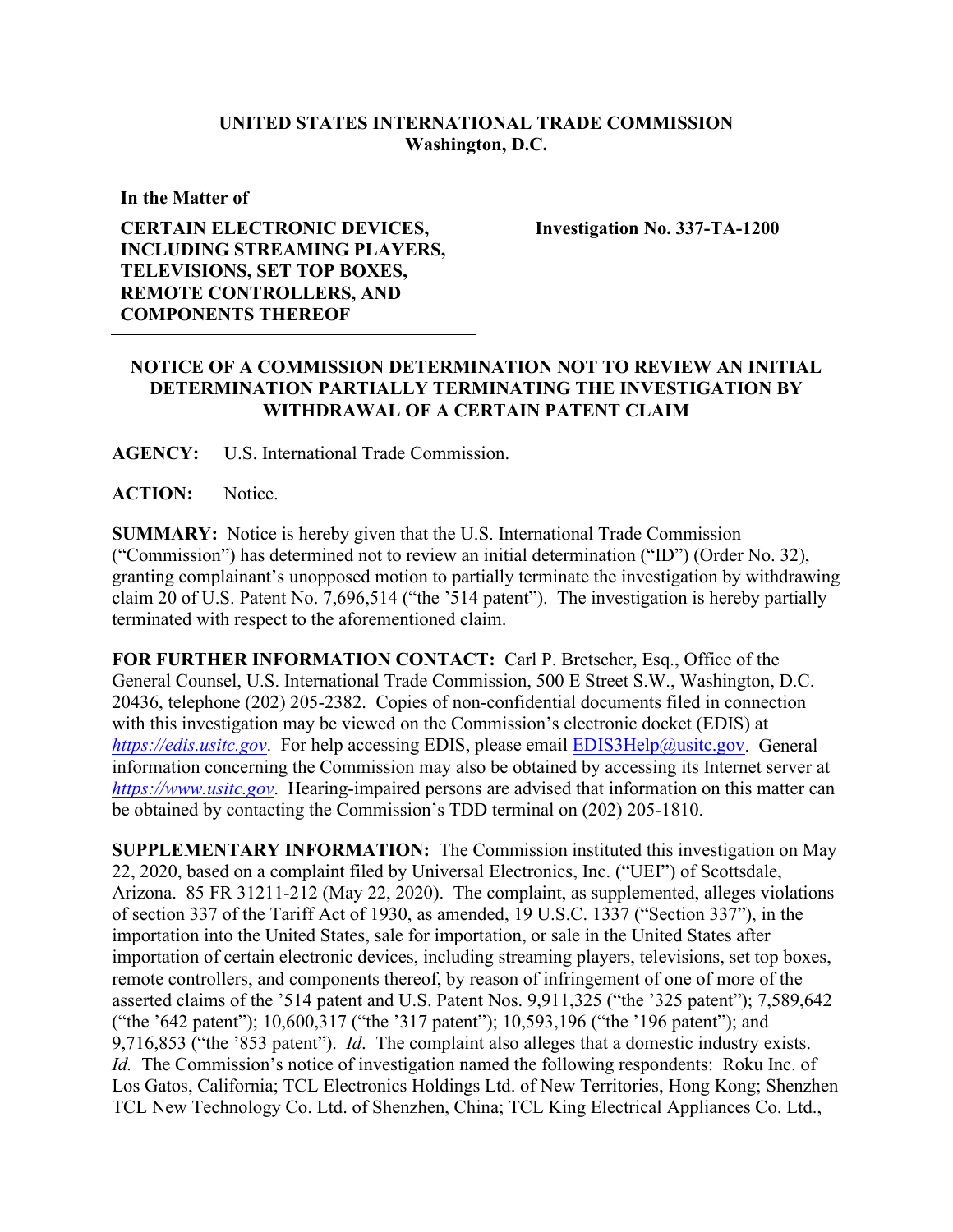## **UNITED STATES INTERNATIONAL TRADE COMMISSION Washington, D.C.**

**In the Matter of**

## **CERTAIN ELECTRONIC DEVICES, INCLUDING STREAMING PLAYERS, TELEVISIONS, SET TOP BOXES, REMOTE CONTROLLERS, AND COMPONENTS THEREOF**

**Investigation No. 337-TA-1200**

## **NOTICE OF A COMMISSION DETERMINATION NOT TO REVIEW AN INITIAL DETERMINATION PARTIALLY TERMINATING THE INVESTIGATION BY WITHDRAWAL OF A CERTAIN PATENT CLAIM**

**AGENCY:** U.S. International Trade Commission.

**ACTION:** Notice.

**SUMMARY:** Notice is hereby given that the U.S. International Trade Commission ("Commission") has determined not to review an initial determination ("ID") (Order No. 32), granting complainant's unopposed motion to partially terminate the investigation by withdrawing claim 20 of U.S. Patent No. 7,696,514 ("the '514 patent"). The investigation is hereby partially terminated with respect to the aforementioned claim.

**FOR FURTHER INFORMATION CONTACT:** Carl P. Bretscher, Esq., Office of the General Counsel, U.S. International Trade Commission, 500 E Street S.W., Washington, D.C. 20436, telephone (202) 205-2382. Copies of non-confidential documents filed in connection with this investigation may be viewed on the Commission's electronic docket (EDIS) at *[https://edis.usitc.gov](https://edis.usitc.gov/).* For help accessing EDIS, please email [EDIS3Help@usitc.gov.](mailto:EDIS3Help@usitc.gov) General information concerning the Commission may also be obtained by accessing its Internet server at *[https://www.usitc.gov](https://www.usitc.gov/)*. Hearing-impaired persons are advised that information on this matter can be obtained by contacting the Commission's TDD terminal on (202) 205-1810.

**SUPPLEMENTARY INFORMATION:** The Commission instituted this investigation on May 22, 2020, based on a complaint filed by Universal Electronics, Inc. ("UEI") of Scottsdale, Arizona. 85 FR 31211-212 (May 22, 2020). The complaint, as supplemented, alleges violations of section 337 of the Tariff Act of 1930, as amended, 19 U.S.C. 1337 ("Section 337"), in the importation into the United States, sale for importation, or sale in the United States after importation of certain electronic devices, including streaming players, televisions, set top boxes, remote controllers, and components thereof, by reason of infringement of one of more of the asserted claims of the '514 patent and U.S. Patent Nos. 9,911,325 ("the '325 patent"); 7,589,642 ("the '642 patent"); 10,600,317 ("the '317 patent"); 10,593,196 ("the '196 patent"); and 9,716,853 ("the '853 patent"). *Id*. The complaint also alleges that a domestic industry exists. *Id.* The Commission's notice of investigation named the following respondents: Roku Inc. of Los Gatos, California; TCL Electronics Holdings Ltd. of New Territories, Hong Kong; Shenzhen TCL New Technology Co. Ltd. of Shenzhen, China; TCL King Electrical Appliances Co. Ltd.,